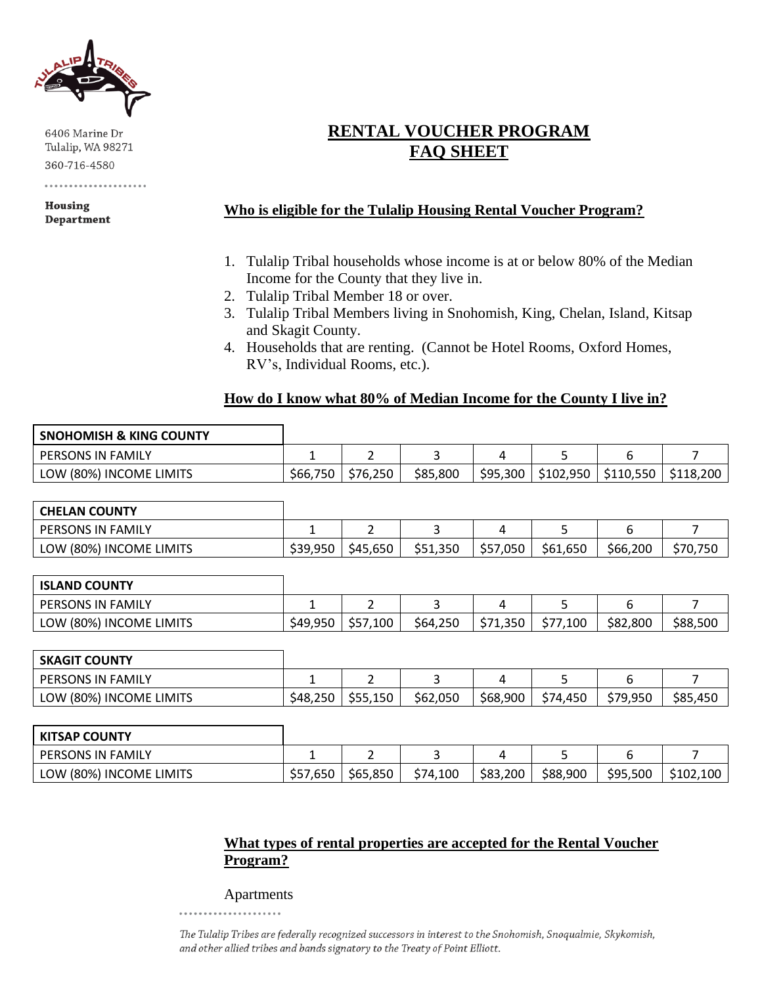

6406 Marine Dr Tulalip, WA 98271 360-716-4580

Housing **Department** 

# **RENTAL VOUCHER PROGRAM FAQ SHEET**

## **Who is eligible for the Tulalip Housing Rental Voucher Program?**

- 1. Tulalip Tribal households whose income is at or below 80% of the Median Income for the County that they live in.
- 2. Tulalip Tribal Member 18 or over.
- 3. Tulalip Tribal Members living in Snohomish, King, Chelan, Island, Kitsap and Skagit County.
- 4. Households that are renting. (Cannot be Hotel Rooms, Oxford Homes, RV's, Individual Rooms, etc.).

#### **How do I know what 80% of Median Income for the County I live in?**

| <b>SNOHOMISH &amp; KING COUNTY</b> |          |          |          |          |           |           |           |
|------------------------------------|----------|----------|----------|----------|-----------|-----------|-----------|
| <b>PERSONS IN FAMILY</b>           |          |          |          |          |           |           |           |
| LOW (80%) INCOME LIMITS            | \$66,750 | \$76,250 | \$85,800 | \$95,300 | \$102,950 | \$110,550 | \$118,200 |

| <b>CHELAN COUNTY</b>     |          |          |          |          |          |          |          |
|--------------------------|----------|----------|----------|----------|----------|----------|----------|
| <b>PERSONS IN FAMILY</b> |          |          |          |          |          |          |          |
| LOW (80%) INCOME LIMITS  | \$39,950 | \$45,650 | \$51,350 | \$57,050 | \$61,650 | \$66,200 | \$70,750 |

| <b>ISLAND COUNTY</b>     |          |          |          |          |          |          |          |
|--------------------------|----------|----------|----------|----------|----------|----------|----------|
| <b>PERSONS IN FAMILY</b> |          | -        |          |          |          |          |          |
| LOW (80%) INCOME LIMITS  | \$49,950 | \$57,100 | \$64,250 | \$71,350 | \$77,100 | \$82,800 | \$88,500 |

| <b>SKAGIT COUNTY</b>     |          |          |          |          |          |          |          |
|--------------------------|----------|----------|----------|----------|----------|----------|----------|
| <b>PERSONS IN FAMILY</b> |          | <u>.</u> |          |          |          |          |          |
| LOW (80%) INCOME LIMITS  | \$48,250 | \$55,150 | \$62,050 | \$68,900 | \$74,450 | \$79,950 | \$85,450 |

| <b>KITSAP COUNTY</b>     |          |          |          |          |          |          |           |
|--------------------------|----------|----------|----------|----------|----------|----------|-----------|
| <b>PERSONS IN FAMILY</b> |          | -        |          |          |          |          |           |
| LOW (80%) INCOME LIMITS  | \$57,650 | \$65,850 | \$74,100 | \$83,200 | \$88,900 | \$95,500 | \$102,100 |

#### **What types of rental properties are accepted for the Rental Voucher Program?**

Apartments

The Tulalip Tribes are federally recognized successors in interest to the Snohomish, Snoqualmie, Skykomish, and other allied tribes and bands signatory to the Treaty of Point Elliott.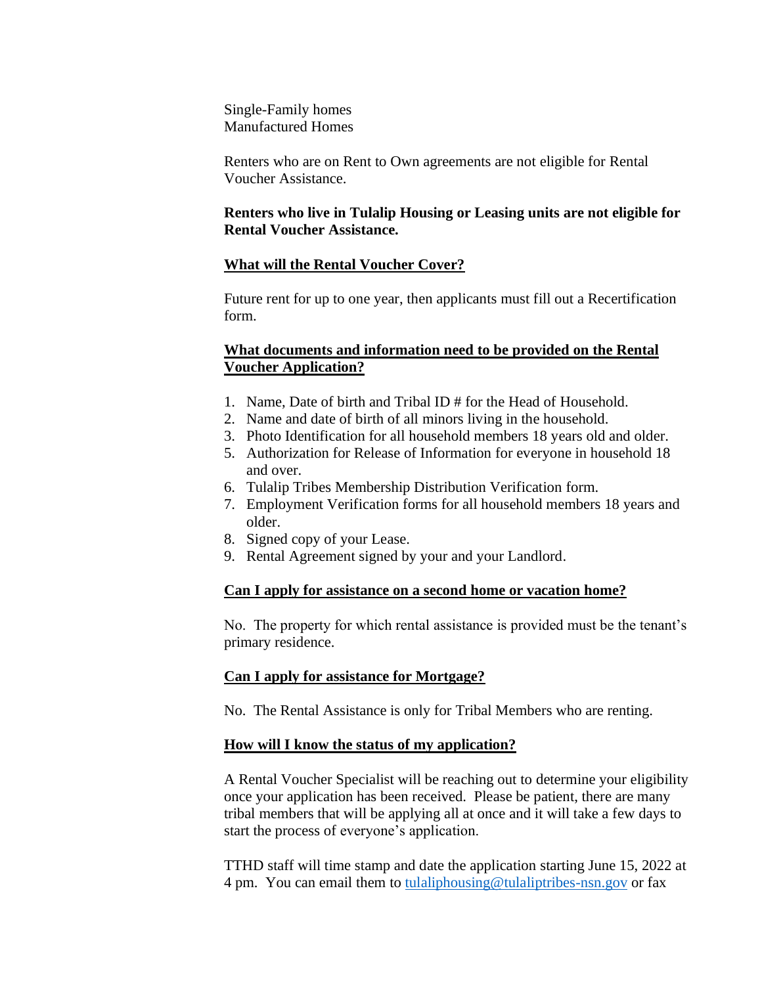Single-Family homes Manufactured Homes

Renters who are on Rent to Own agreements are not eligible for Rental Voucher Assistance.

#### **Renters who live in Tulalip Housing or Leasing units are not eligible for Rental Voucher Assistance.**

#### **What will the Rental Voucher Cover?**

Future rent for up to one year, then applicants must fill out a Recertification form.

#### **What documents and information need to be provided on the Rental Voucher Application?**

- 1. Name, Date of birth and Tribal ID # for the Head of Household.
- 2. Name and date of birth of all minors living in the household.
- 3. Photo Identification for all household members 18 years old and older.
- 5. Authorization for Release of Information for everyone in household 18 and over.
- 6. Tulalip Tribes Membership Distribution Verification form.
- 7. Employment Verification forms for all household members 18 years and older.
- 8. Signed copy of your Lease.
- 9. Rental Agreement signed by your and your Landlord.

## **Can I apply for assistance on a second home or vacation home?**

No. The property for which rental assistance is provided must be the tenant's primary residence.

## **Can I apply for assistance for Mortgage?**

No. The Rental Assistance is only for Tribal Members who are renting.

## **How will I know the status of my application?**

A Rental Voucher Specialist will be reaching out to determine your eligibility once your application has been received. Please be patient, there are many tribal members that will be applying all at once and it will take a few days to start the process of everyone's application.

TTHD staff will time stamp and date the application starting June 15, 2022 at 4 pm. You can email them to [tulaliphousing@tulaliptribes-nsn.gov](mailto:tulaliphousing@tulaliptribes-nsn.gov) or fax